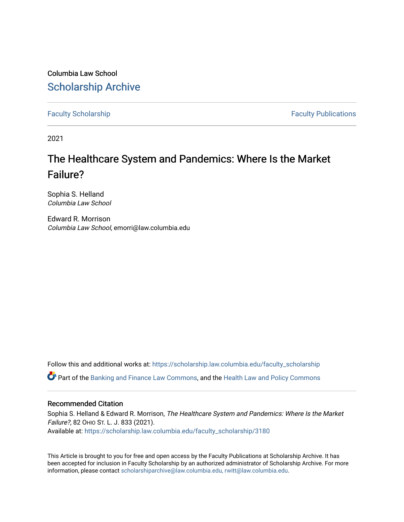Columbia Law School [Scholarship Archive](https://scholarship.law.columbia.edu/) 

[Faculty Scholarship](https://scholarship.law.columbia.edu/faculty_scholarship) **Faculty Scholarship Faculty Publications** 

2021

# The Healthcare System and Pandemics: Where Is the Market Failure?

Sophia S. Helland Columbia Law School

Edward R. Morrison Columbia Law School, emorri@law.columbia.edu

Follow this and additional works at: [https://scholarship.law.columbia.edu/faculty\\_scholarship](https://scholarship.law.columbia.edu/faculty_scholarship?utm_source=scholarship.law.columbia.edu%2Ffaculty_scholarship%2F3180&utm_medium=PDF&utm_campaign=PDFCoverPages) Part of the [Banking and Finance Law Commons,](http://network.bepress.com/hgg/discipline/833?utm_source=scholarship.law.columbia.edu%2Ffaculty_scholarship%2F3180&utm_medium=PDF&utm_campaign=PDFCoverPages) and the [Health Law and Policy Commons](http://network.bepress.com/hgg/discipline/901?utm_source=scholarship.law.columbia.edu%2Ffaculty_scholarship%2F3180&utm_medium=PDF&utm_campaign=PDFCoverPages) 

# Recommended Citation

Sophia S. Helland & Edward R. Morrison, The Healthcare System and Pandemics: Where Is the Market Failure?, 82 OHIO ST. L. J. 833 (2021). Available at: [https://scholarship.law.columbia.edu/faculty\\_scholarship/3180](https://scholarship.law.columbia.edu/faculty_scholarship/3180?utm_source=scholarship.law.columbia.edu%2Ffaculty_scholarship%2F3180&utm_medium=PDF&utm_campaign=PDFCoverPages)

This Article is brought to you for free and open access by the Faculty Publications at Scholarship Archive. It has been accepted for inclusion in Faculty Scholarship by an authorized administrator of Scholarship Archive. For more information, please contact [scholarshiparchive@law.columbia.edu, rwitt@law.columbia.edu](mailto:scholarshiparchive@law.columbia.edu,%20rwitt@law.columbia.edu).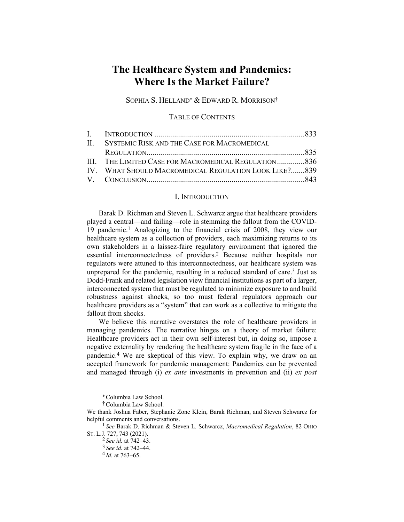# **The Healthcare System and Pandemics: Where Is the Market Failure?**

SOPHIA S. HELLAND<sup>\*</sup> & EDWARD R. MORRISON<sup>†</sup>

TABLE OF CONTENTS

| II. SYSTEMIC RISK AND THE CASE FOR MACROMEDICAL       |  |
|-------------------------------------------------------|--|
|                                                       |  |
| III. THE LIMITED CASE FOR MACROMEDICAL REGULATION836  |  |
| IV. WHAT SHOULD MACROMEDICAL REGULATION LOOK LIKE?839 |  |
|                                                       |  |

#### I. INTRODUCTION

Barak D. Richman and Steven L. Schwarcz argue that healthcare providers played a central—and failing—role in stemming the fallout from the COVID-19 pandemic.1 Analogizing to the financial crisis of 2008, they view our healthcare system as a collection of providers, each maximizing returns to its own stakeholders in a laissez-faire regulatory environment that ignored the essential interconnectedness of providers.2 Because neither hospitals nor regulators were attuned to this interconnectedness, our healthcare system was unprepared for the pandemic, resulting in a reduced standard of care.<sup>3</sup> Just as Dodd-Frank and related legislation view financial institutions as part of a larger, interconnected system that must be regulated to minimize exposure to and build robustness against shocks, so too must federal regulators approach our healthcare providers as a "system" that can work as a collective to mitigate the fallout from shocks.

We believe this narrative overstates the role of healthcare providers in managing pandemics. The narrative hinges on a theory of market failure: Healthcare providers act in their own self-interest but, in doing so, impose a negative externality by rendering the healthcare system fragile in the face of a pandemic.4 We are skeptical of this view. To explain why, we draw on an accepted framework for pandemic management: Pandemics can be prevented and managed through (i) *ex ante* investments in prevention and (ii) *ex post*

Columbia Law School.

<sup>†</sup> Columbia Law School.

We thank Joshua Faber, Stephanie Zone Klein, Barak Richman, and Steven Schwarcz for helpful comments and conversations.

<sup>1</sup> *See* Barak D. Richman & Steven L. Schwarcz, *Macromedical Regulation*, 82 OHIO ST. L.J. 727, 743 (2021).

<sup>2</sup> *See id.* at 742–43.

<sup>3</sup> *See id.* at 742–44.

<sup>4</sup> *Id.* at 763–65.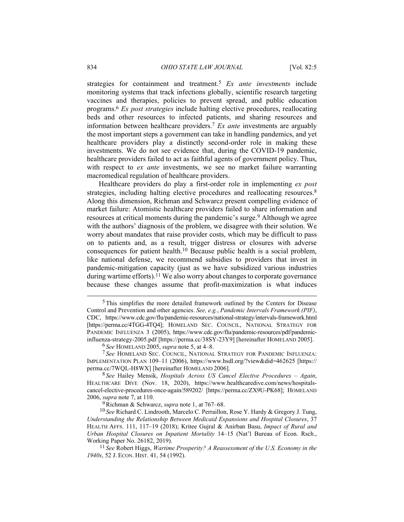strategies for containment and treatment.5 *Ex ante investments* include monitoring systems that track infections globally, scientific research targeting vaccines and therapies, policies to prevent spread, and public education programs.6 *Ex post strategies* include halting elective procedures, reallocating beds and other resources to infected patients, and sharing resources and information between healthcare providers.7 *Ex ante* investments are arguably the most important steps a government can take in handling pandemics, and yet healthcare providers play a distinctly second-order role in making these investments. We do not see evidence that, during the COVID-19 pandemic, healthcare providers failed to act as faithful agents of government policy. Thus, with respect to *ex ante* investments, we see no market failure warranting macromedical regulation of healthcare providers.

Healthcare providers do play a first-order role in implementing *ex post* strategies, including halting elective procedures and reallocating resources.<sup>8</sup> Along this dimension, Richman and Schwarcz present compelling evidence of market failure: Atomistic healthcare providers failed to share information and resources at critical moments during the pandemic's surge.<sup>9</sup> Although we agree with the authors' diagnosis of the problem, we disagree with their solution. We worry about mandates that raise provider costs, which may be difficult to pass on to patients and, as a result, trigger distress or closures with adverse consequences for patient health.10 Because public health is a social problem, like national defense, we recommend subsidies to providers that invest in pandemic-mitigation capacity (just as we have subsidized various industries during wartime efforts).<sup>11</sup> We also worry about changes to corporate governance because these changes assume that profit-maximization is what induces

6 *See* HOMELAND 2005, *supra* note 5, at 4–8.

7 *See* HOMELAND SEC. COUNCIL, NATIONAL STRATEGY FOR PANDEMIC INFLUENZA: IMPLEMENTATION PLAN 109–11 (2006), https://www.hsdl.org/?view&did=462625 [https:// perma.cc/7WQL-H8WX] [hereinafter HOMELAND 2006].

8 *See* Hailey Mensik, *Hospitals Across US Cancel Elective Procedures – Again*, HEALTHCARE DIVE (Nov. 18, 2020), https://www.healthcaredive.com/news/hospitalscancel-elective-procedures-once-again/589202/ [https://perma.cc/ZX9U-PK68]; HOMELAND 2006, *supra* note 7, at 110.

9 Richman & Schwarcz, *supra* note 1, at 767–68.

10 *See* Richard C. Lindrooth, Marcelo C. Perraillon, Rose Y. Hardy & Gregory J. Tung, *Understanding the Relationship Between Medicaid Expansions and Hospital Closures*, 37 HEALTH AFFS. 111, 117–19 (2018); Kritee Gujral & Anirban Basu, *Impact of Rural and Urban Hospital Closures on Inpatient Mortality* 14–15 (Nat'l Bureau of Econ. Rsch., Working Paper No. 26182, 2019).

 $<sup>5</sup>$ This simplifies the more detailed framework outlined by the Centers for Disease</sup> Control and Prevention and other agencies. *See, e.g.*, *Pandemic Intervals Framework (PIF)*, CDC, https://www.cdc.gov/flu/pandemic-resources/national-strategy/intervals-framework.html [https://perma.cc/4TGG-4TQ4]; HOMELAND SEC. COUNCIL, NATIONAL STRATEGY FOR PANDEMIC INFLUENZA 3 (2005), https://www.cdc.gov/flu/pandemic-resources/pdf/pandemicinfluenza-strategy-2005.pdf [https://perma.cc/38SY-23Y9] [hereinafter HOMELAND 2005].

<sup>11</sup> *See* Robert Higgs, *Wartime Prosperity? A Reassessment of the U.S. Economy in the 1940s*, 52 J. ECON. HIST. 41, 54 (1992).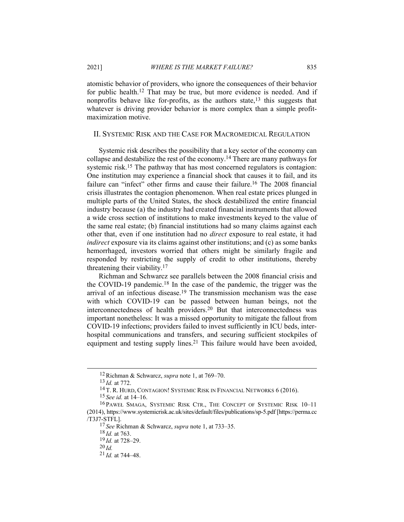atomistic behavior of providers, who ignore the consequences of their behavior for public health.12 That may be true, but more evidence is needed. And if nonprofits behave like for-profits, as the authors state,  $13$  this suggests that whatever is driving provider behavior is more complex than a simple profitmaximization motive.

#### II. SYSTEMIC RISK AND THE CASE FOR MACROMEDICAL REGULATION

Systemic risk describes the possibility that a key sector of the economy can collapse and destabilize the rest of the economy.<sup>14</sup> There are many pathways for systemic risk.<sup>15</sup> The pathway that has most concerned regulators is contagion: One institution may experience a financial shock that causes it to fail, and its failure can "infect" other firms and cause their failure.<sup>16</sup> The 2008 financial crisis illustrates the contagion phenomenon. When real estate prices plunged in multiple parts of the United States, the shock destabilized the entire financial industry because (a) the industry had created financial instruments that allowed a wide cross section of institutions to make investments keyed to the value of the same real estate; (b) financial institutions had so many claims against each other that, even if one institution had no *direct* exposure to real estate, it had *indirect* exposure via its claims against other institutions; and (c) as some banks hemorrhaged, investors worried that others might be similarly fragile and responded by restricting the supply of credit to other institutions, thereby threatening their viability.17

Richman and Schwarcz see parallels between the 2008 financial crisis and the COVID-19 pandemic.18 In the case of the pandemic, the trigger was the arrival of an infectious disease.19 The transmission mechanism was the ease with which COVID-19 can be passed between human beings, not the interconnectedness of health providers.20 But that interconnectedness was important nonetheless: It was a missed opportunity to mitigate the fallout from COVID-19 infections; providers failed to invest sufficiently in ICU beds, interhospital communications and transfers, and securing sufficient stockpiles of equipment and testing supply lines.<sup>21</sup> This failure would have been avoided,

<sup>12</sup> Richman & Schwarcz, *supra* note 1, at 769–70.

<sup>13</sup> *Id.* at 772.

<sup>14</sup> T. R. HURD, CONTAGION! SYSTEMIC RISK IN FINANCIAL NETWORKS 6 (2016).

<sup>15</sup> *See id.* at 14–16.

<sup>16</sup> PAWE<sup>Ł</sup> SMAGA, SYSTEMIC RISK CTR., THE CONCEPT OF SYSTEMIC RISK 10–11 (2014), https://www.systemicrisk.ac.uk/sites/default/files/publications/sp-5.pdf [https://perma.cc /T3J7-STFL].

<sup>17</sup> *See* Richman & Schwarcz, *supra* note 1, at 733–35.

<sup>18</sup> *Id.* at 763.

<sup>19</sup> *Id.* at 728–29.

<sup>20</sup> *Id.*

<sup>21</sup> *Id.* at 744–48.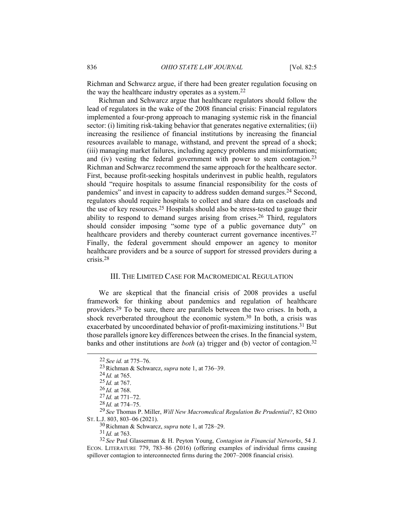Richman and Schwarcz argue, if there had been greater regulation focusing on the way the healthcare industry operates as a system.22

Richman and Schwarcz argue that healthcare regulators should follow the lead of regulators in the wake of the 2008 financial crisis: Financial regulators implemented a four-prong approach to managing systemic risk in the financial sector: (i) limiting risk-taking behavior that generates negative externalities; (ii) increasing the resilience of financial institutions by increasing the financial resources available to manage, withstand, and prevent the spread of a shock; (iii) managing market failures, including agency problems and misinformation; and (iv) vesting the federal government with power to stem contagion.23 Richman and Schwarcz recommend the same approach for the healthcare sector. First, because profit-seeking hospitals underinvest in public health, regulators should "require hospitals to assume financial responsibility for the costs of pandemics" and invest in capacity to address sudden demand surges.<sup>24</sup> Second, regulators should require hospitals to collect and share data on caseloads and the use of key resources.25 Hospitals should also be stress-tested to gauge their ability to respond to demand surges arising from crises.26 Third, regulators should consider imposing "some type of a public governance duty" on healthcare providers and thereby counteract current governance incentives.<sup>27</sup> Finally, the federal government should empower an agency to monitor healthcare providers and be a source of support for stressed providers during a crisis.28

## III. THE LIMITED CASE FOR MACROMEDICAL REGULATION

We are skeptical that the financial crisis of 2008 provides a useful framework for thinking about pandemics and regulation of healthcare providers.29 To be sure, there are parallels between the two crises. In both, a shock reverberated throughout the economic system.<sup>30</sup> In both, a crisis was exacerbated by uncoordinated behavior of profit-maximizing institutions.<sup>31</sup> But those parallels ignore key differences between the crises. In the financial system, banks and other institutions are *both* (a) trigger and (b) vector of contagion.<sup>32</sup>

<sup>22</sup> *See id.* at 775–76.

<sup>23</sup> Richman & Schwarcz, *supra* note 1, at 736–39.

<sup>24</sup> *Id.* at 765.

<sup>25</sup> *Id.* at 767.

<sup>26</sup> *Id.* at 768.

<sup>27</sup> *Id.* at 771–72.

<sup>28</sup> *Id.* at 774–75.

<sup>29</sup> *See* Thomas P. Miller, *Will New Macromedical Regulation Be Prudential?*, 82 OHIO ST. L.J. 803, 803–06 (2021).

<sup>30</sup> Richman & Schwarcz, *supra* note 1, at 728–29.

<sup>31</sup> *Id.* at 763.

<sup>32</sup> *See* Paul Glasserman & H. Peyton Young, *Contagion in Financial Networks*, 54 J. ECON. LITERATURE 779, 783–86 (2016) (offering examples of individual firms causing spillover contagion to interconnected firms during the 2007–2008 financial crisis).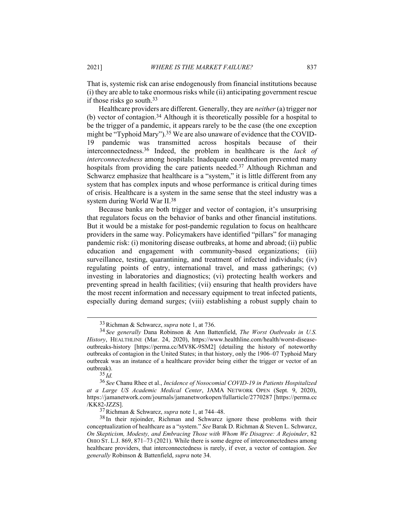That is, systemic risk can arise endogenously from financial institutions because (i) they are able to take enormous risks while (ii) anticipating government rescue if those risks go south.33

Healthcare providers are different. Generally, they are *neither* (a) trigger nor (b) vector of contagion.34 Although it is theoretically possible for a hospital to be the trigger of a pandemic, it appears rarely to be the case (the one exception might be "Typhoid Mary").<sup>35</sup> We are also unaware of evidence that the COVID-19 pandemic was transmitted across hospitals because of their interconnectedness.36 Indeed, the problem in healthcare is the *lack of interconnectedness* among hospitals: Inadequate coordination prevented many hospitals from providing the care patients needed.<sup>37</sup> Although Richman and Schwarcz emphasize that healthcare is a "system," it is little different from any system that has complex inputs and whose performance is critical during times of crisis. Healthcare is a system in the same sense that the steel industry was a system during World War II.38

Because banks are both trigger and vector of contagion, it's unsurprising that regulators focus on the behavior of banks and other financial institutions. But it would be a mistake for post-pandemic regulation to focus on healthcare providers in the same way. Policymakers have identified "pillars" for managing pandemic risk: (i) monitoring disease outbreaks, at home and abroad; (ii) public education and engagement with community-based organizations; (iii) surveillance, testing, quarantining, and treatment of infected individuals; (iv) regulating points of entry, international travel, and mass gatherings; (v) investing in laboratories and diagnostics; (vi) protecting health workers and preventing spread in health facilities; (vii) ensuring that health providers have the most recent information and necessary equipment to treat infected patients, especially during demand surges; (viii) establishing a robust supply chain to

<sup>33</sup> Richman & Schwarcz, *supra* note 1, at 736.

<sup>34</sup> *See generally* Dana Robinson & Ann Battenfield, *The Worst Outbreaks in U.S. History*, HEALTHLINE (Mar. 24, 2020), https://www.healthline.com/health/worst-diseaseoutbreaks-history [https://perma.cc/MV8K-9SM2] (detailing the history of noteworthy outbreaks of contagion in the United States; in that history, only the 1906–07 Typhoid Mary outbreak was an instance of a healthcare provider being either the trigger or vector of an outbreak).

<sup>35</sup> *Id.*

<sup>36</sup> *See* Chanu Rhee et al., *Incidence of Nosocomial COVID-19 in Patients Hospitalized at a Large US Academic Medical Center*, JAMA NETWORK OPEN (Sept. 9, 2020), https://jamanetwork.com/journals/jamanetworkopen/fullarticle/2770287 [https://perma.cc /KK82-JZZS].

<sup>37</sup> Richman & Schwarcz, *supra* note 1, at 744–48.

<sup>&</sup>lt;sup>38</sup> In their rejoinder, Richman and Schwarcz ignore these problems with their conceptualization of healthcare as a "system." *See* Barak D. Richman & Steven L. Schwarcz, *On Skepticism, Modesty, and Embracing Those with Whom We Disagree: A Rejoinder*, 82 OHIO ST. L.J. 869, 871–73 (2021). While there is some degree of interconnectedness among healthcare providers, that interconnectedness is rarely, if ever, a vector of contagion. *See generally* Robinson & Battenfield, *supra* note 34.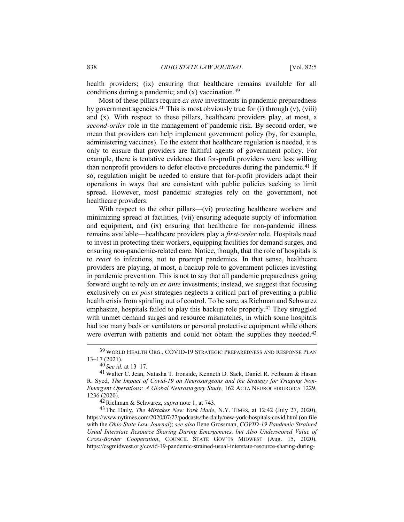health providers; (ix) ensuring that healthcare remains available for all conditions during a pandemic; and  $(x)$  vaccination.<sup>39</sup>

Most of these pillars require *ex ante* investments in pandemic preparedness by government agencies.<sup>40</sup> This is most obviously true for (i) through  $(v)$ ,  $(viii)$ and (x). With respect to these pillars, healthcare providers play, at most, a *second-order* role in the management of pandemic risk. By second order, we mean that providers can help implement government policy (by, for example, administering vaccines). To the extent that healthcare regulation is needed, it is only to ensure that providers are faithful agents of government policy. For example, there is tentative evidence that for-profit providers were less willing than nonprofit providers to defer elective procedures during the pandemic.<sup>41</sup> If so, regulation might be needed to ensure that for-profit providers adapt their operations in ways that are consistent with public policies seeking to limit spread. However, most pandemic strategies rely on the government, not healthcare providers.

With respect to the other pillars—(vi) protecting healthcare workers and minimizing spread at facilities, (vii) ensuring adequate supply of information and equipment, and (ix) ensuring that healthcare for non-pandemic illness remains available—healthcare providers play a *first-order* role. Hospitals need to invest in protecting their workers, equipping facilities for demand surges, and ensuring non-pandemic-related care. Notice, though, that the role of hospitals is to *react* to infections, not to preempt pandemics. In that sense, healthcare providers are playing, at most, a backup role to government policies investing in pandemic prevention. This is not to say that all pandemic preparedness going forward ought to rely on *ex ante* investments; instead, we suggest that focusing exclusively on *ex post* strategies neglects a critical part of preventing a public health crisis from spiraling out of control. To be sure, as Richman and Schwarcz emphasize, hospitals failed to play this backup role properly.42 They struggled with unmet demand surges and resource mismatches, in which some hospitals had too many beds or ventilators or personal protective equipment while others were overrun with patients and could not obtain the supplies they needed.<sup>43</sup>

<sup>39</sup> WORLD HEALTH ORG., COVID-19 STRATEGIC PREPAREDNESS AND RESPONSE PLAN 13–17 (2021).

<sup>40</sup> *See id.* at 13–17.

<sup>41</sup> Walter C. Jean, Natasha T. Ironside, Kenneth D. Sack, Daniel R. Felbaum & Hasan R. Syed, *The Impact of Covid-19 on Neurosurgeons and the Strategy for Triaging Non-Emergent Operations: A Global Neurosurgery Study*, 162 ACTA NEUROCHIRURGICA 1229, 1236 (2020).

<sup>42</sup> Richman & Schwarcz, *supra* note 1, at 743.

<sup>43</sup> The Daily, *The Mistakes New York Made*, N.Y. TIMES, at 12:42 (July 27, 2020), https://www.nytimes.com/2020/07/27/podcasts/the-daily/new-york-hospitals-covid.html (on file with the *Ohio State Law Journal*); *see also* Ilene Grossman, *COVID-19 Pandemic Strained Usual Interstate Resource Sharing During Emergencies, but Also Underscored Value of Cross-Border Cooperation*, COUNCIL STATE GOV'TS MIDWEST (Aug. 15, 2020), https://csgmidwest.org/covid-19-pandemic-strained-usual-interstate-resource-sharing-during-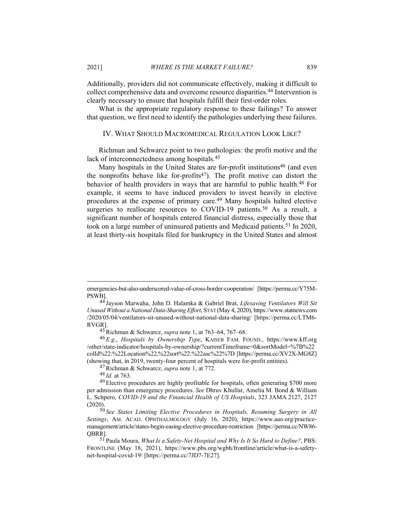Additionally, providers did not communicate effectively, making it difficult to collect comprehensive data and overcome resource disparities.44 Intervention is clearly necessary to ensure that hospitals fulfill their first-order roles.

What is the appropriate regulatory response to these failings? To answer that question, we first need to identify the pathologies underlying these failures.

## IV. WHAT SHOULD MACROMEDICAL REGULATION LOOK LIKE?

Richman and Schwarcz point to two pathologies: the profit motive and the lack of interconnectedness among hospitals.45

Many hospitals in the United States are for-profit institutions<sup>46</sup> (and even the nonprofits behave like for-profits<sup>47</sup>). The profit motive can distort the behavior of health providers in ways that are harmful to public health.<sup>48</sup> For example, it seems to have induced providers to invest heavily in elective procedures at the expense of primary care.49 Many hospitals halted elective surgeries to reallocate resources to COVID-19 patients.<sup>50</sup> As a result, a significant number of hospitals entered financial distress, especially those that took on a large number of uninsured patients and Medicaid patients.51 In 2020, at least thirty-six hospitals filed for bankruptcy in the United States and almost

47 Richman & Schwarcz, *supra* note 1, at 772.

48 *Id.* at 763.

emergencies-but-also-underscored-value-of-cross-border-cooperation/ [https://perma.cc/Y75M-PSWB].

<sup>44</sup> Jayson Marwaha, John D. Halamka & Gabriel Brat, *Lifesaving Ventilators Will Sit Unused Without a National Data-Sharing Effort*, STAT (May 4, 2020), https://www.statnews.com /2020/05/04/ventilators-sit-unused-without-national-data-sharing/ [https://perma.cc/LTM6- RVGR].

<sup>45</sup> Richman & Schwarcz, *supra* note 1, at 763–64, 767–68.

<sup>46</sup> *E.g.*, *Hospitals by Ownership Type*, KAISER FAM. FOUND., https://www.kff.org /other/state-indicator/hospitals-by-ownership/?currentTimeframe=0&sortModel=%7B%22 colId%22:%22Location%22,%22sort%22:%22asc%22%7D [https://perma.cc/XV2X-MG8Z] (showing that, in 2019, twenty-four percent of hospitals were for-profit entities).

<sup>49</sup> Elective procedures are highly profitable for hospitals, often generating \$700 more per admission than emergency procedures. *See* Dhruv Khullar, Amelia M. Bond & William L. Schpero, *COVID-19 and the Financial Health of US Hospitals*, 323 JAMA 2127, 2127  $(2020)$ 

<sup>50</sup> *See States Limiting Elective Procedures in Hospitals, Resuming Surgery in All Settings*, AM. ACAD. OPHTHALMOLOGY (July 16, 2020), https://www.aao.org/practicemanagement/article/states-begin-easing-elective-procedure-restriction [https://perma.cc/NW86- QBRR].

<sup>51</sup> Paula Moura, *What Is a Safety-Net Hospital and Why Is It So Hard to Define?*, PBS: FRONTLINE (May 18, 2021), https://www.pbs.org/wgbh/frontline/article/what-is-a-safetynet-hospital-covid-19/ [https://perma.cc/7JD7-7E27].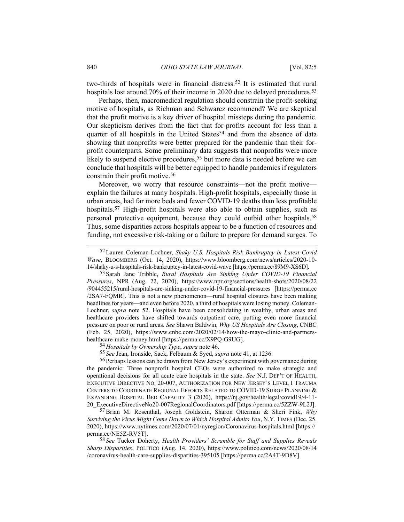two-thirds of hospitals were in financial distress.52 It is estimated that rural hospitals lost around 70% of their income in 2020 due to delayed procedures.<sup>53</sup>

Perhaps, then, macromedical regulation should constrain the profit-seeking motive of hospitals, as Richman and Schwarcz recommend? We are skeptical that the profit motive is a key driver of hospital missteps during the pandemic. Our skepticism derives from the fact that for-profits account for less than a quarter of all hospitals in the United States<sup>54</sup> and from the absence of data showing that nonprofits were better prepared for the pandemic than their forprofit counterparts. Some preliminary data suggests that nonprofits were more likely to suspend elective procedures,<sup>55</sup> but more data is needed before we can conclude that hospitals will be better equipped to handle pandemics if regulators constrain their profit motive.56

Moreover, we worry that resource constraints—not the profit motive explain the failures at many hospitals. High-profit hospitals, especially those in urban areas, had far more beds and fewer COVID-19 deaths than less profitable hospitals.<sup>57</sup> High-profit hospitals were also able to obtain supplies, such as personal protective equipment, because they could outbid other hospitals.<sup>58</sup> Thus, some disparities across hospitals appear to be a function of resources and funding, not excessive risk-taking or a failure to prepare for demand surges. To

55 *See* Jean, Ironside, Sack, Felbaum & Syed, *supra* note 41, at 1236.

<sup>52</sup> Lauren Coleman-Lochner, *Shaky U.S. Hospitals Risk Bankruptcy in Latest Covid Wave*, BLOOMBERG (Oct. 14, 2020), https://www.bloomberg.com/news/articles/2020-10- 14/shaky-u-s-hospitals-risk-bankruptcy-in-latest-covid-wave [https://perma.cc/89M9-XS6D].

<sup>53</sup> Sarah Jane Tribble, *Rural Hospitals Are Sinking Under COVID-19 Financial Pressures*, NPR (Aug. 22, 2020), https://www.npr.org/sections/health-shots/2020/08/22 /904455215/rural-hospitals-are-sinking-under-covid-19-financial-pressures [https://perma.cc /2SA7-FQMR]. This is not a new phenomenon—rural hospital closures have been making headlines for years—and even before 2020, a third of hospitals were losing money. Coleman-Lochner, *supra* note 52. Hospitals have been consolidating in wealthy, urban areas and healthcare providers have shifted towards outpatient care, putting even more financial pressure on poor or rural areas. *See* Shawn Baldwin, *Why US Hospitals Are Closing*, CNBC (Feb. 25, 2020), https://www.cnbc.com/2020/02/14/how-the-mayo-clinic-and-partnershealthcare-make-money.html [https://perma.cc/X9PQ-G9UG].

<sup>54</sup> *Hospitals by Ownership Type*, *supra* note 46.

<sup>56</sup> Perhaps lessons can be drawn from New Jersey's experiment with governance during the pandemic: Three nonprofit hospital CEOs were authorized to make strategic and operational decisions for all acute care hospitals in the state. *See* N.J. DEP'T OF HEALTH, EXECUTIVE DIRECTIVE NO. 20-007, AUTHORIZATION FOR NEW JERSEY'S LEVEL I TRAUMA CENTERS TO COORDINATE REGIONAL EFFORTS RELATED TO COVID-19 SURGE PLANNING & EXPANDING HOSPITAL BED CAPACITY 3 (2020), https://nj.gov/health/legal/covid19/4-11- 20\_ExecutiveDirectiveNo20-007RegionalCoordinators.pdf [https://perma.cc/5ZZW-9L2J].

<sup>57</sup> Brian M. Rosenthal, Joseph Goldstein, Sharon Otterman & Sheri Fink, *Why Surviving the Virus Might Come Down to Which Hospital Admits You*, N.Y. TIMES (Dec. 25. 2020), https://www.nytimes.com/2020/07/01/nyregion/Coronavirus-hospitals.html [https:// perma.cc/NE5Z-RV5T].

<sup>58</sup> *See* Tucker Doherty, *Health Providers' Scramble for Staff and Supplies Reveals Sharp Disparities*, POLITICO (Aug. 14, 2020), https://www.politico.com/news/2020/08/14 /coronavirus-health-care-supplies-disparities-395105 [https://perma.cc/2A4T-9D8V].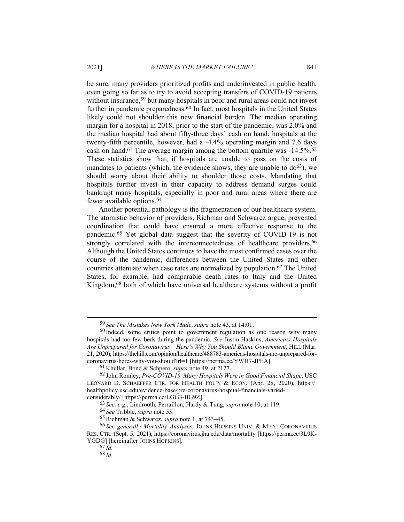be sure, many providers prioritized profits and underinvested in public health, even going so far as to try to avoid accepting transfers of COVID-19 patients without insurance,<sup>59</sup> but many hospitals in poor and rural areas could not invest further in pandemic preparedness.<sup>60</sup> In fact, most hospitals in the United States likely could not shoulder this new financial burden. The median operating margin for a hospital in 2018, prior to the start of the pandemic, was 2.0% and the median hospital had about fifty-three days' cash on hand; hospitals at the twenty-fifth percentile, however, had a -4.4% operating margin and 7.6 days cash on hand.<sup>61</sup> The average margin among the bottom quartile was  $-14.5\%$ .<sup>62</sup> These statistics show that, if hospitals are unable to pass on the costs of mandates to patients (which, the evidence shows, they are unable to  $d\sigma^{63}$ ), we should worry about their ability to shoulder those costs. Mandating that hospitals further invest in their capacity to address demand surges could bankrupt many hospitals, especially in poor and rural areas where there are fewer available options.64

Another potential pathology is the fragmentation of our healthcare system. The atomistic behavior of providers, Richman and Schwarcz argue, prevented coordination that could have ensured a more effective response to the pandemic.65 Yet global data suggest that the severity of COVID-19 is not strongly correlated with the interconnectedness of healthcare providers.<sup>66</sup> Although the United States continues to have the most confirmed cases over the course of the pandemic, differences between the United States and other countries attenuate when case rates are normalized by population.67 The United States, for example, had comparable death rates to Italy and the United Kingdom,68 both of which have universal healthcare systems without a profit

<sup>59</sup> *See The Mistakes New York Made*, *supra* note 43, at 14:01.

 $60$  Indeed, some critics point to government regulation as one reason why many hospitals had too few beds during the pandemic. *See* Justin Haskins, *America's Hospitals Are Unprepared for Coronavirus – Here's Why You Should Blame Government*, HILL (Mar. 21, 2020), https://thehill.com/opinion/healthcare/488783-americas-hospitals-are-unprepared-forcoronavirus-heres-why-you-should?rl=1 [https://perma.cc/YWH7-JPEA].

<sup>61</sup> Khullar, Bond & Schpero, *supra* note 49, at 2127.

<sup>62</sup> John Romley, *Pre-COVID-19, Many Hospitals Were in Good Financial Shape*, USC LEONARD D. SCHAEFFER CTR. FOR HEALTH POL'Y & ECON. (Apr. 28, 2020), https:// healthpolicy.usc.edu/evidence-base/pre-coronavirus-hospital-financials-variedconsiderably/ [https://perma.cc/LGG3-BG9Z].

<sup>63</sup> *See, e.g.*, Lindrooth, Perraillon, Hardy & Tung, *supra* note 10, at 119.

<sup>64</sup> *See* Tribble, *supra* note 53.

<sup>65</sup> Richman & Schwarcz, *supra* note 1, at 743–45.

<sup>66</sup> *See generally Mortality Analyses*, JOHNS HOPKINS UNIV. & MED.: CORONAVIRUS RES. CTR. (Sept. 5, 2021), https://coronavirus.jhu.edu/data/mortality [https://perma.cc/3L9K-YGDG] [hereinafter JOHNS HOPKINS].

 $67$   $\bar{I}d$ 

<sup>68</sup> *Id.*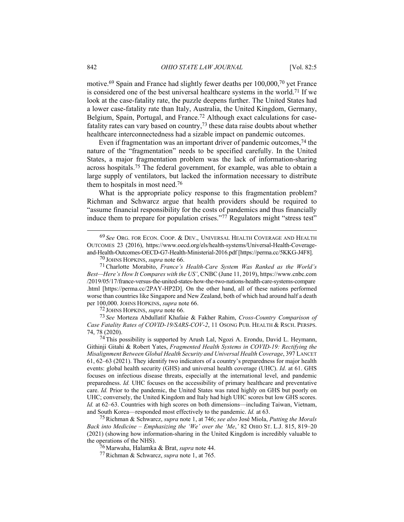motive.69 Spain and France had slightly fewer deaths per 100,000,70 yet France is considered one of the best universal healthcare systems in the world.71 If we look at the case-fatality rate, the puzzle deepens further. The United States had a lower case-fatality rate than Italy, Australia, the United Kingdom, Germany, Belgium, Spain, Portugal, and France.<sup>72</sup> Although exact calculations for casefatality rates can vary based on country,73 these data raise doubts about whether healthcare interconnectedness had a sizable impact on pandemic outcomes.

Even if fragmentation was an important driver of pandemic outcomes,74 the nature of the "fragmentation" needs to be specified carefully. In the United States, a major fragmentation problem was the lack of information-sharing across hospitals.75 The federal government, for example, was able to obtain a large supply of ventilators, but lacked the information necessary to distribute them to hospitals in most need.76

What is the appropriate policy response to this fragmentation problem? Richman and Schwarcz argue that health providers should be required to "assume financial responsibility for the costs of pandemics and thus financially induce them to prepare for population crises."77 Regulators might "stress test"

72 JOHNS HOPKINS, *supra* note 66.

73 *See* Morteza Abdullatif Khafaie & Fakher Rahim, *Cross-Country Comparison of Case Fatality Rates of COVID-19/SARS-COV-2*, 11 OSONG PUB. HEALTH & RSCH. PERSPS. 74, 78 (2020).

<sup>69</sup> *See* ORG. FOR ECON. COOP. & DEV., UNIVERSAL HEALTH COVERAGE AND HEALTH OUTCOMES 23 (2016), https://www.oecd.org/els/health-systems/Universal-Health-Coverageand-Health-Outcomes-OECD-G7-Health-Ministerial-2016.pdf [https://perma.cc/5KKG-J4F8].

<sup>70</sup> JOHNS HOPKINS, *supra* note 66.

<sup>71</sup> Charlotte Morabito, *France's Health-Care System Was Ranked as the World's Best—Here's How It Compares with the US'*, CNBC (June 11, 2019), https://www.cnbc.com /2019/05/17/france-versus-the-united-states-how-the-two-nations-health-care-systems-compare .html [https://perma.cc/2PAY-HP2D]. On the other hand, all of these nations performed worse than countries like Singapore and New Zealand, both of which had around half a death per 100,000. JOHNS HOPKINS, *supra* note 66.

<sup>74</sup> This possibility is supported by Arush Lal, Ngozi A. Erondu, David L. Heymann, Githinji Gitahi & Robert Yates, *Fragmented Health Systems in COVID-19: Rectifying the Misalignment Between Global Health Security and Universal Health Coverage*, 397 LANCET 61, 62–63 (2021). They identify two indicators of a country's preparedness for major health events: global health security (GHS) and universal health coverage (UHC). *Id.* at 61. GHS focuses on infectious disease threats, especially at the international level, and pandemic preparedness. *Id.* UHC focuses on the accessibility of primary healthcare and preventative care. *Id.* Prior to the pandemic, the United States was rated highly on GHS but poorly on UHC; conversely, the United Kingdom and Italy had high UHC scores but low GHS scores. *Id.* at 62–63. Countries with high scores on both dimensions—including Taiwan, Vietnam, and South Korea—responded most effectively to the pandemic. *Id.* at 63.75 Richman & Schwarcz, *supra* note 1, at 746; *see also* José Miola, *Putting the Morals* 

*Back into Medicine – Emphasizing the 'We' over the 'Me*,*'* 82 OHIO ST. L.J. 815, 819–20 (2021) (showing how information-sharing in the United Kingdom is incredibly valuable to the operations of the NHS).

<sup>76</sup> Marwaha, Halamka & Brat, *supra* note 44.

<sup>77</sup> Richman & Schwarcz, *supra* note 1, at 765.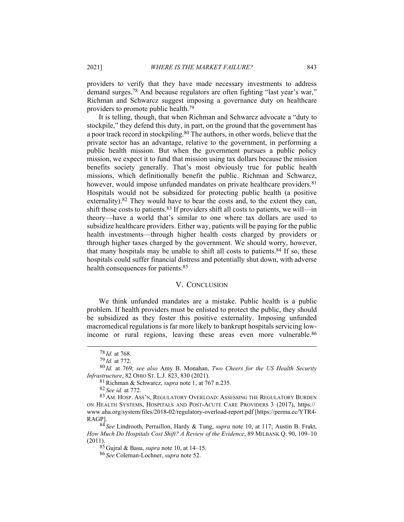providers to verify that they have made necessary investments to address demand surges.78 And because regulators are often fighting "last year's war," Richman and Schwarcz suggest imposing a governance duty on healthcare providers to promote public health.79

It is telling, though, that when Richman and Schwarcz advocate a "duty to stockpile," they defend this duty, in part, on the ground that the government has a poor track record in stockpiling.80 The authors, in other words, believe that the private sector has an advantage, relative to the government, in performing a public health mission. But when the government pursues a public policy mission, we expect it to fund that mission using tax dollars because the mission benefits society generally. That's most obviously true for public health missions, which definitionally benefit the public. Richman and Schwarcz, however, would impose unfunded mandates on private healthcare providers.<sup>81</sup> Hospitals would not be subsidized for protecting public health (a positive externality).<sup>82</sup> They would have to bear the costs and, to the extent they can, shift those costs to patients.<sup>83</sup> If providers shift all costs to patients, we will—in theory—have a world that's similar to one where tax dollars are used to subsidize healthcare providers. Either way, patients will be paying for the public health investments—through higher health costs charged by providers or through higher taxes charged by the government. We should worry, however, that many hospitals may be unable to shift all costs to patients. $84$  If so, these hospitals could suffer financial distress and potentially shut down, with adverse health consequences for patients.<sup>85</sup>

#### V. CONCLUSION

We think unfunded mandates are a mistake. Public health is a public problem. If health providers must be enlisted to protect the public, they should be subsidized as they foster this positive externality. Imposing unfunded macromedical regulations is far more likely to bankrupt hospitals servicing lowincome or rural regions, leaving these areas even more vulnerable.<sup>86</sup>

<sup>78</sup> *Id.* at 768.

<sup>79</sup> *Id.* at 772.

<sup>80</sup> *Id.* at 769; *see also* Amy B. Monahan, *Two Cheers for the US Health Security Infrastructure*, 82 OHIO ST. L.J. 823, 830 (2021).

<sup>81</sup> Richman & Schwarcz, *supra* note 1, at 767 n.235.

<sup>82</sup> *See id.* at 772.

<sup>83</sup> AM. HOSP. ASS'N, REGULATORY OVERLOAD: ASSESSING THE REGULATORY BURDEN ON HEALTH SYSTEMS, HOSPITALS AND POST-ACUTE CARE PROVIDERS 3 (2017), https:// www.aha.org/system/files/2018-02/regulatory-overload-report.pdf [https://perma.cc/YTR4- RAGP].

<sup>84</sup> *See* Lindrooth, Perraillon, Hardy & Tung, *supra* note 10, at 117; Austin B. Frakt, *How Much Do Hospitals Cost Shift? A Review of the Evidence*, 89 MILBANK Q. 90, 109–10 (2011).

<sup>85</sup> Gujral & Basu, *supra* note 10, at 14–15.

<sup>86</sup> *See* Coleman-Lochner, *supra* note 52.